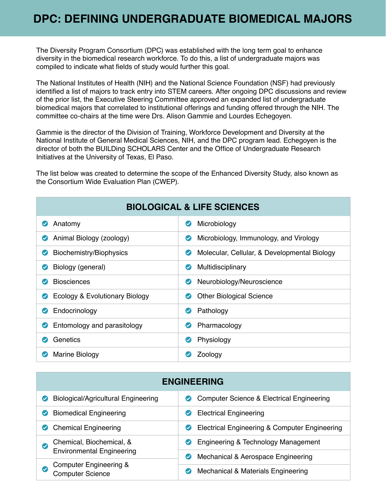The Diversity Program Consortium (DPC) was established with the long term goal to enhance diversity in the biomedical research workforce. To do this, a list of undergraduate majors was compiled to indicate what fields of study would further this goal.

The National Institutes of Health (NIH) and the National Science Foundation (NSF) had previously identified a list of majors to track entry into STEM careers. After ongoing DPC discussions and review of the prior list, the Executive Steering Committee approved an expanded list of undergraduate biomedical majors that correlated to institutional offerings and funding offered through the NIH. The committee co-chairs at the time were Drs. Alison Gammie and Lourdes Echegoyen.

Gammie is the director of the Division of Training, Workforce Development and Diversity at the National Institute of General Medical Sciences, NIH, and the DPC program lead. Echegoyen is the director of both the BUILDing SCHOLARS Center and the Office of Undergraduate Research Initiatives at the University of Texas, El Paso.

The list below was created to determine the scope of the Enhanced Diversity Study, also known as the Consortium Wide Evaluation Plan (CWEP).

| <b>BIOLOGICAL &amp; LIFE SCIENCES</b> |                                              |  |
|---------------------------------------|----------------------------------------------|--|
| Anatomy                               | Microbiology<br>$\bullet$                    |  |
| Animal Biology (zoology)              | Microbiology, Immunology, and Virology       |  |
| $\bullet$                             | $\bullet$                                    |  |
| Biochemistry/Biophysics               | Molecular, Cellular, & Developmental Biology |  |
| $\bullet$                             | $\left($ $\right)$                           |  |
| Biology (general)                     | Multidisciplinary                            |  |
| $\sim$                                | $\bullet$                                    |  |
| <b>Biosciences</b>                    | Neurobiology/Neuroscience                    |  |
| $\bm{\mathcal{S}}$                    | $\bullet$                                    |  |
| Ecology & Evolutionary Biology        | <b>Other Biological Science</b>              |  |
| $\bullet$                             | $\bullet$                                    |  |
| Endocrinology                         | Pathology                                    |  |
| $\sim$                                | $\bullet$                                    |  |
| Entomology and parasitology           | Pharmacology                                 |  |
| $\bullet$                             | $\bullet$                                    |  |
| Genetics                              | Physiology<br>$\bullet$                      |  |
| Marine Biology                        | Zoology                                      |  |

| <b>ENGINEERING</b>                                           |                                                                  |  |
|--------------------------------------------------------------|------------------------------------------------------------------|--|
| <b>Biological/Agricultural Engineering</b>                   | Computer Science & Electrical Engineering<br>$\sim$              |  |
| <b>Biomedical Engineering</b>                                | <b>Electrical Engineering</b>                                    |  |
| <b>Chemical Engineering</b>                                  | Electrical Engineering & Computer Engineering<br>$\checkmark$    |  |
| Chemical, Biochemical, &<br>$\checkmark$                     | Engineering & Technology Management<br>$\sim$                    |  |
| <b>Environmental Engineering</b>                             | Mechanical & Aerospace Engineering<br>$\boldsymbol{\mathcal{C}}$ |  |
| <b>Computer Engineering &amp;</b><br><b>Computer Science</b> | Mechanical & Materials Engineering<br>$\boldsymbol{\mathcal{C}}$ |  |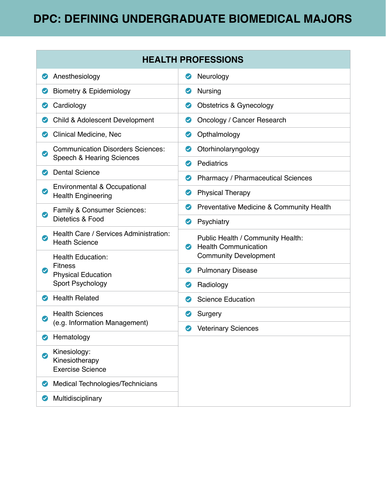## **DPC: DEFINING UNDERGRADUATE BIOMEDICAL MAJORS**

| <b>HEALTH PROFESSIONS</b>                                                                |                                                                          |  |
|------------------------------------------------------------------------------------------|--------------------------------------------------------------------------|--|
| Anesthesiology<br>$\bullet$                                                              | Neurology<br>$\bullet$                                                   |  |
| <b>Biometry &amp; Epidemiology</b><br>$\bullet$                                          | Nursing<br>$\bullet$                                                     |  |
| Cardiology<br>$\bullet$                                                                  | Obstetrics & Gynecology<br>$\bullet$                                     |  |
| Child & Adolescent Development<br>$\bm{\bm\omega}$                                       | Oncology / Cancer Research<br>$\bullet$                                  |  |
| <b>Clinical Medicine, Nec</b><br>$\bm{\bm{\omega}}$                                      | Opthalmology<br>$\bullet$                                                |  |
| <b>Communication Disorders Sciences:</b><br>$\bullet$                                    | Otorhinolaryngology<br>$\bm{\bm\omega}$                                  |  |
| <b>Speech &amp; Hearing Sciences</b><br><b>Dental Science</b>                            | Pediatrics<br>$\boldsymbol{\varphi}$                                     |  |
| $\bm{\bm{\vartriangledown}}$                                                             | <b>Pharmacy / Pharmaceutical Sciences</b><br>$\bm{\bm\omega}$            |  |
| Environmental & Occupational<br>$\bm{\mathcal{Q}}$<br><b>Health Engineering</b>          | <b>Physical Therapy</b><br>$\bullet$                                     |  |
| Family & Consumer Sciences:<br>$\boldsymbol{\varpi}$<br>Dietetics & Food                 | Preventative Medicine & Community Health<br>$\bm{\bm\omega}$             |  |
|                                                                                          | Psychiatry<br>$\bullet$                                                  |  |
| Health Care / Services Administration:<br>$\bullet$<br><b>Heath Science</b>              | Public Health / Community Health:                                        |  |
| <b>Health Education:</b>                                                                 | <b>Health Communication</b><br>$\bullet$<br><b>Community Development</b> |  |
| <b>Fitness</b><br>$\bullet$<br><b>Physical Education</b><br>Sport Psychology             | <b>Pulmonary Disease</b><br>$\bullet$                                    |  |
|                                                                                          | Radiology<br>$\bullet$                                                   |  |
| <b>Health Related</b><br>$\bm{\bm{\triangledown}}$                                       | <b>Science Education</b><br>$\bm{\bm{\vartriangleright}}$                |  |
| <b>Health Sciences</b><br>$\bm{\bm{\vartriangleright}}$<br>(e.g. Information Management) | Surgery<br>$\bullet$                                                     |  |
|                                                                                          | <b>Veterinary Sciences</b><br>$\bullet$                                  |  |
| Hematology<br>$\boldsymbol{\varphi}$                                                     |                                                                          |  |
| Kinesiology:<br>$\boldsymbol{\varphi}$<br>Kinesiotherapy<br><b>Exercise Science</b>      |                                                                          |  |
| Medical Technologies/Technicians<br>$\bm{\bm{\omega}}$                                   |                                                                          |  |
| Multidisciplinary<br>$\boldsymbol{\vartriangleright}$                                    |                                                                          |  |